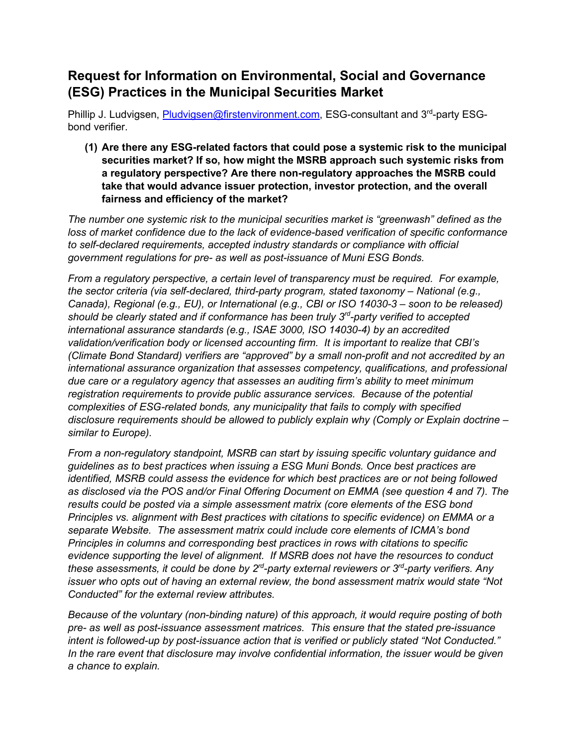## **Request for Information on Environmental, Social and Governance (ESG) Practices in the Municipal Securities Market**

Phillip J. Ludvigsen, [Pludvigsen@firstenvironment.com,](mailto:Pludvigsen@firstenvironment.com) ESG-consultant and 3<sup>rd</sup>-party ESGbond verifier.

**(1) Are there any ESG-related factors that could pose a systemic risk to the municipal securities market? If so, how might the MSRB approach such systemic risks from a regulatory perspective? Are there non-regulatory approaches the MSRB could take that would advance issuer protection, investor protection, and the overall fairness and efficiency of the market?**

*The number one systemic risk to the municipal securities market is "greenwash" defined as the loss of market confidence due to the lack of evidence-based verification of specific conformance to self-declared requirements, accepted industry standards or compliance with official government regulations for pre- as well as post-issuance of Muni ESG Bonds.* 

*From a regulatory perspective, a certain level of transparency must be required. For example, the sector criteria (via self-declared, third-party program, stated taxonomy – National (e.g., Canada), Regional (e.g., EU), or International (e.g., CBI or ISO 14030-3 – soon to be released) should be clearly stated and if conformance has been truly 3rd-party verified to accepted international assurance standards (e.g., ISAE 3000, ISO 14030-4) by an accredited validation/verification body or licensed accounting firm. It is important to realize that CBI's (Climate Bond Standard) verifiers are "approved" by a small non-profit and not accredited by an international assurance organization that assesses competency, qualifications, and professional due care or a regulatory agency that assesses an auditing firm's ability to meet minimum registration requirements to provide public assurance services. Because of the potential complexities of ESG-related bonds, any municipality that fails to comply with specified disclosure requirements should be allowed to publicly explain why (Comply or Explain doctrine – similar to Europe).* 

*From a non-regulatory standpoint, MSRB can start by issuing specific voluntary guidance and guidelines as to best practices when issuing a ESG Muni Bonds. Once best practices are identified, MSRB could assess the evidence for which best practices are or not being followed as disclosed via the POS and/or Final Offering Document on EMMA (see question 4 and 7). The results could be posted via a simple assessment matrix (core elements of the ESG bond Principles vs. alignment with Best practices with citations to specific evidence) on EMMA or a separate Website. The assessment matrix could include core elements of ICMA's bond Principles in columns and corresponding best practices in rows with citations to specific evidence supporting the level of alignment. If MSRB does not have the resources to conduct these assessments, it could be done by 2rd-party external reviewers or 3rd-party verifiers. Any issuer who opts out of having an external review, the bond assessment matrix would state "Not Conducted" for the external review attributes.*

*Because of the voluntary (non-binding nature) of this approach, it would require posting of both pre- as well as post-issuance assessment matrices. This ensure that the stated pre-issuance intent is followed-up by post-issuance action that is verified or publicly stated "Not Conducted." In the rare event that disclosure may involve confidential information, the issuer would be given a chance to explain.*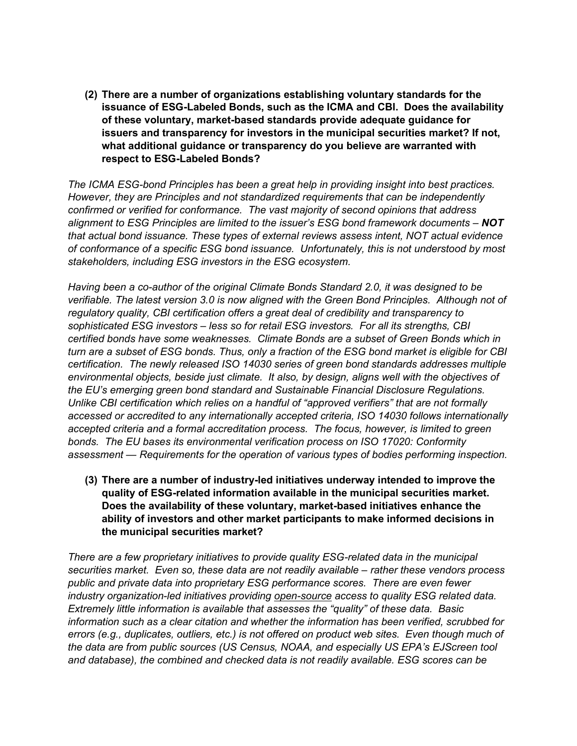**(2) There are a number of organizations establishing voluntary standards for the issuance of ESG-Labeled Bonds, such as the ICMA and CBI. Does the availability of these voluntary, market-based standards provide adequate guidance for issuers and transparency for investors in the municipal securities market? If not, what additional guidance or transparency do you believe are warranted with respect to ESG-Labeled Bonds?**

*The ICMA ESG-bond Principles has been a great help in providing insight into best practices. However, they are Principles and not standardized requirements that can be independently confirmed or verified for conformance. The vast majority of second opinions that address alignment to ESG Principles are limited to the issuer's ESG bond framework documents – NOT that actual bond issuance. These types of external reviews assess intent, NOT actual evidence of conformance of a specific ESG bond issuance. Unfortunately, this is not understood by most stakeholders, including ESG investors in the ESG ecosystem.*

*Having been a co-author of the original Climate Bonds Standard 2.0, it was designed to be verifiable. The latest version 3.0 is now aligned with the Green Bond Principles. Although not of regulatory quality, CBI certification offers a great deal of credibility and transparency to sophisticated ESG investors – less so for retail ESG investors. For all its strengths, CBI certified bonds have some weaknesses. Climate Bonds are a subset of Green Bonds which in turn are a subset of ESG bonds. Thus, only a fraction of the ESG bond market is eligible for CBI certification. The newly released ISO 14030 series of green bond standards addresses multiple environmental objects, beside just climate. It also, by design, aligns well with the objectives of the EU's emerging green bond standard and Sustainable Financial Disclosure Regulations. Unlike CBI certification which relies on a handful of "approved verifiers" that are not formally accessed or accredited to any internationally accepted criteria, ISO 14030 follows internationally accepted criteria and a formal accreditation process. The focus, however, is limited to green bonds. The EU bases its environmental verification process on ISO 17020: Conformity assessment — Requirements for the operation of various types of bodies performing inspection.*

**(3) There are a number of industry-led initiatives underway intended to improve the quality of ESG-related information available in the municipal securities market. Does the availability of these voluntary, market-based initiatives enhance the ability of investors and other market participants to make informed decisions in the municipal securities market?**

*There are a few proprietary initiatives to provide quality ESG-related data in the municipal securities market. Even so, these data are not readily available – rather these vendors process public and private data into proprietary ESG performance scores. There are even fewer industry organization-led initiatives providing open-source access to quality ESG related data. Extremely little information is available that assesses the "quality" of these data. Basic information such as a clear citation and whether the information has been verified, scrubbed for errors (e.g., duplicates, outliers, etc.) is not offered on product web sites. Even though much of the data are from public sources (US Census, NOAA, and especially US EPA's EJScreen tool and database), the combined and checked data is not readily available. ESG scores can be*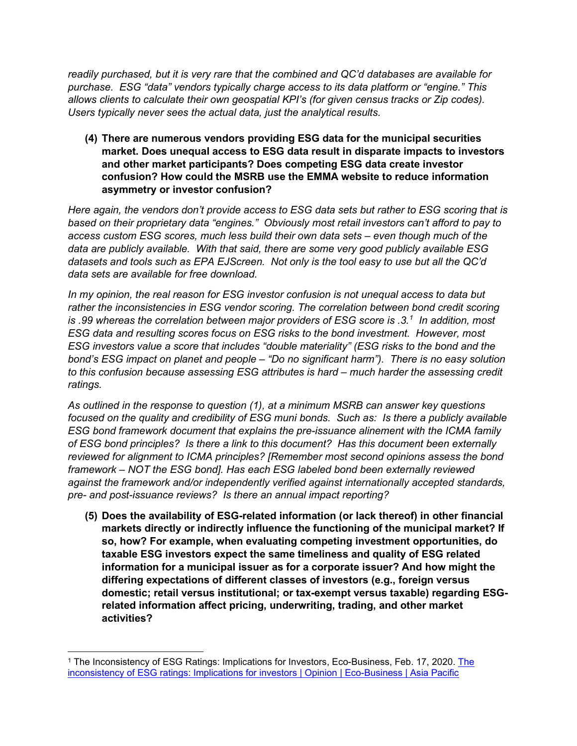*readily purchased, but it is very rare that the combined and QC'd databases are available for purchase. ESG "data" vendors typically charge access to its data platform or "engine." This allows clients to calculate their own geospatial KPI's (for given census tracks or Zip codes). Users typically never sees the actual data, just the analytical results.*

**(4) There are numerous vendors providing ESG data for the municipal securities market. Does unequal access to ESG data result in disparate impacts to investors and other market participants? Does competing ESG data create investor confusion? How could the MSRB use the EMMA website to reduce information asymmetry or investor confusion?**

*Here again, the vendors don't provide access to ESG data sets but rather to ESG scoring that is based on their proprietary data "engines." Obviously most retail investors can't afford to pay to access custom ESG scores, much less build their own data sets – even though much of the data are publicly available. With that said, there are some very good publicly available ESG datasets and tools such as EPA EJScreen. Not only is the tool easy to use but all the QC'd data sets are available for free download.*

*In my opinion, the real reason for ESG investor confusion is not unequal access to data but*  rather the inconsistencies in ESG vendor scoring. The correlation between bond credit scoring *is .99 whereas the correlation between major providers of ESG score is .3. [1](#page-2-0) In addition, most ESG data and resulting scores focus on ESG risks to the bond investment. However, most ESG investors value a score that includes "double materiality" (ESG risks to the bond and the bond's ESG impact on planet and people – "Do no significant harm"). There is no easy solution to this confusion because assessing ESG attributes is hard – much harder the assessing credit ratings.*

*As outlined in the response to question (1), at a minimum MSRB can answer key questions focused on the quality and credibility of ESG muni bonds. Such as: Is there a publicly available ESG bond framework document that explains the pre-issuance alinement with the ICMA family of ESG bond principles? Is there a link to this document? Has this document been externally reviewed for alignment to ICMA principles? [Remember most second opinions assess the bond framework – NOT the ESG bond]. Has each ESG labeled bond been externally reviewed against the framework and/or independently verified against internationally accepted standards, pre- and post-issuance reviews? Is there an annual impact reporting?*

**(5) Does the availability of ESG-related information (or lack thereof) in other financial markets directly or indirectly influence the functioning of the municipal market? If so, how? For example, when evaluating competing investment opportunities, do taxable ESG investors expect the same timeliness and quality of ESG related information for a municipal issuer as for a corporate issuer? And how might the differing expectations of different classes of investors (e.g., foreign versus domestic; retail versus institutional; or tax-exempt versus taxable) regarding ESGrelated information affect pricing, underwriting, trading, and other market activities?** 

<span id="page-2-0"></span><sup>&</sup>lt;sup>1</sup> [The](https://www.eco-business.com/opinion/the-inconsistency-of-esg-ratings-implications-for-investors/) Inconsistency of ESG Ratings: Implications for Investors, Eco-Business, Feb. 17, 2020. The [inconsistency of ESG ratings: Implications for investors | Opinion | Eco-Business | Asia Pacific](https://www.eco-business.com/opinion/the-inconsistency-of-esg-ratings-implications-for-investors/)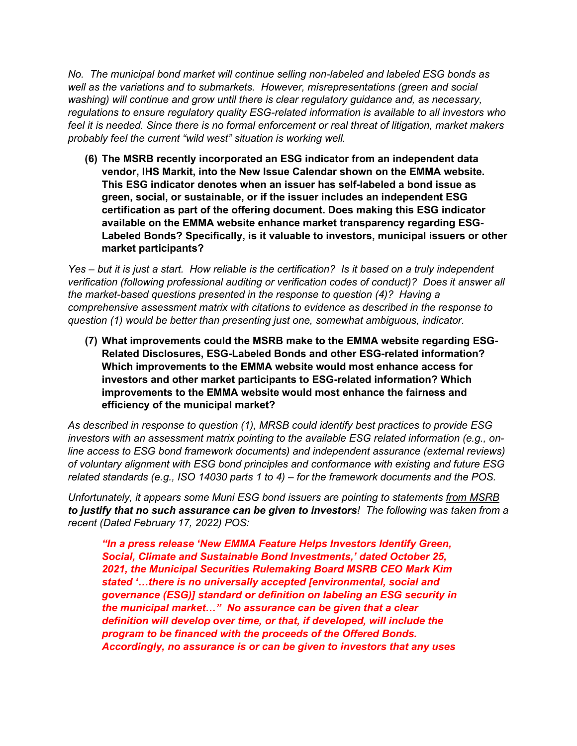*No. The municipal bond market will continue selling non-labeled and labeled ESG bonds as well as the variations and to submarkets. However, misrepresentations (green and social washing) will continue and grow until there is clear regulatory guidance and, as necessary, regulations to ensure regulatory quality ESG-related information is available to all investors who feel it is needed. Since there is no formal enforcement or real threat of litigation, market makers probably feel the current "wild west" situation is working well.*

**(6) The MSRB recently incorporated an ESG indicator from an independent data vendor, IHS Markit, into the New Issue Calendar shown on the EMMA website. This ESG indicator denotes when an issuer has self-labeled a bond issue as green, social, or sustainable, or if the issuer includes an independent ESG certification as part of the offering document. Does making this ESG indicator available on the EMMA website enhance market transparency regarding ESG-Labeled Bonds? Specifically, is it valuable to investors, municipal issuers or other market participants?**

*Yes – but it is just a start. How reliable is the certification? Is it based on a truly independent verification (following professional auditing or verification codes of conduct)? Does it answer all the market-based questions presented in the response to question (4)? Having a comprehensive assessment matrix with citations to evidence as described in the response to question (1) would be better than presenting just one, somewhat ambiguous, indicator.*

**(7) What improvements could the MSRB make to the EMMA website regarding ESG-Related Disclosures, ESG-Labeled Bonds and other ESG-related information? Which improvements to the EMMA website would most enhance access for investors and other market participants to ESG-related information? Which improvements to the EMMA website would most enhance the fairness and efficiency of the municipal market?**

*As described in response to question (1), MRSB could identify best practices to provide ESG investors with an assessment matrix pointing to the available ESG related information (e.g., online access to ESG bond framework documents) and independent assurance (external reviews) of voluntary alignment with ESG bond principles and conformance with existing and future ESG related standards (e.g., ISO 14030 parts 1 to 4) – for the framework documents and the POS.* 

*Unfortunately, it appears some Muni ESG bond issuers are pointing to statements from MSRB to justify that no such assurance can be given to investors! The following was taken from a recent (Dated February 17, 2022) POS:*

*"In a press release 'New EMMA Feature Helps Investors Identify Green, Social, Climate and Sustainable Bond Investments,' dated October 25, 2021, the Municipal Securities Rulemaking Board MSRB CEO Mark Kim stated '…there is no universally accepted [environmental, social and governance (ESG)] standard or definition on labeling an ESG security in the municipal market…" No assurance can be given that a clear definition will develop over time, or that, if developed, will include the program to be financed with the proceeds of the Offered Bonds. Accordingly, no assurance is or can be given to investors that any uses*